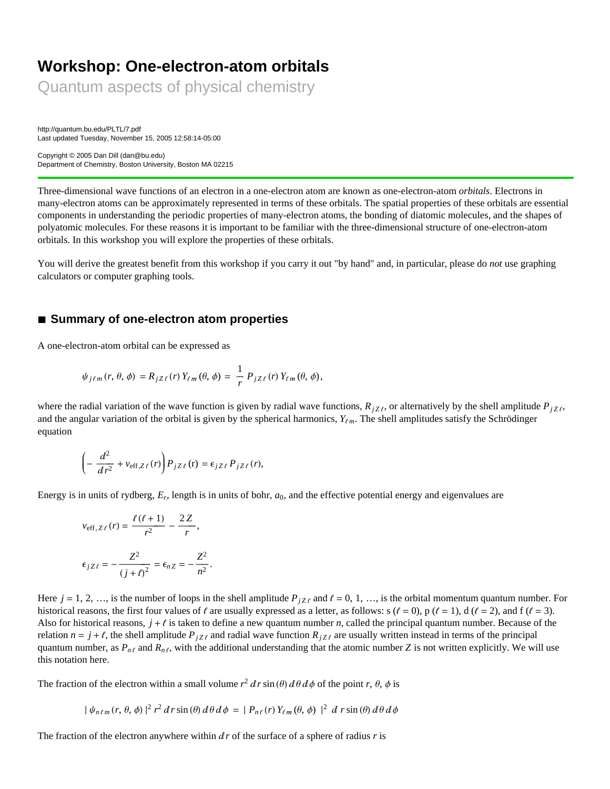# **Workshop: One-electron-atom orbitals**

Quantum aspects of physical chemistry

http://quantum.bu.edu/PLTL/7.pdf Last updated Tuesday, November 15, 2005 12:58:14-05:00

Copyright © 2005 Dan Dill (dan@bu.edu) Department of Chemistry, Boston University, Boston MA 02215

Three-dimensional wave functions of an electron in a one-electron atom are known as one-electron-atom *orbitals*. Electrons in many-electron atoms can be approximately represented in terms of these orbitals. The spatial properties of these orbitals are essential components in understanding the periodic properties of many-electron atoms, the bonding of diatomic molecules, and the shapes of polyatomic molecules. For these reasons it is important to be familiar with the three-dimensional structure of one-electron-atom orbitals. In this workshop you will explore the properties of these orbitals.

You will derive the greatest benefit from this workshop if you carry it out "by hand" and, in particular, please do *not* use graphing calculators or computer graphing tools.

### **à Summary of one-electron atom properties**

A one-electron-atom orbital can be expressed as

$$
\psi_{j\ell m}(r, \theta, \phi) = R_{jZ\ell}(r) Y_{\ell m}(\theta, \phi) = \frac{1}{r} P_{jZ\ell}(r) Y_{\ell m}(\theta, \phi),
$$

where the radial variation of the wave function is given by radial wave functions,  $R_{jZ\ell}$ , or alternatively by the shell amplitude  $P_{jZ\ell}$ , and the angular variation of the orbital is given by the spherical harmonics,  $Y_{\ell m}$ . The shell amplitudes satisfy the Schrödinger equation

$$
\left(-\frac{d^2}{dr^2} + v_{\text{eff},Z\ell}(r)\right) P_{jZ\ell}(\mathbf{r}) = \epsilon_{jZ\ell} P_{jZ\ell}(r),
$$

Energy is in units of rydberg, *Er*, length is in units of bohr, *a*0, and the effective potential energy and eigenvalues are

$$
v_{\text{eff}, Z\ell}(r) = \frac{\ell(\ell+1)}{r^2} - \frac{2Z}{r},
$$

$$
\epsilon_{jZ\ell} = -\frac{Z^2}{(j+\ell)^2} = \epsilon_{nZ} = -\frac{Z^2}{n^2}.
$$

Here  $j = 1, 2, \ldots$ , is the number of loops in the shell amplitude  $P_{iZ\ell}$  and  $\ell = 0, 1, \ldots$ , is the orbital momentum quantum number. For historical reasons, the first four values of  $\ell$  are usually expressed as a letter, as follows: s ( $\ell = 0$ ), p ( $\ell = 1$ ), d ( $\ell = 2$ ), and f ( $\ell = 3$ ). Also for historical reasons,  $j + \ell$  is taken to define a new quantum number *n*, called the principal quantum number. Because of the relation  $n = j + \ell$ , the shell amplitude  $P_{jZ\ell}$  and radial wave function  $R_{jZ\ell}$  are usually written instead in terms of the principal quantum number, as  $P_{n\ell}$  and  $R_{n\ell}$ , with the additional understanding that the atomic number *Z* is not written explicitly. We will use this notation here.

The fraction of the electron within a small volume  $r^2 d r \sin(\theta) d\theta d\phi$  of the point *r*,  $\theta$ ,  $\phi$  is

$$
|\psi_{n\ell m}(r,\theta,\phi)|^2 r^2 dr \sin(\theta) d\theta d\phi = |P_{n\ell}(r) Y_{\ell m}(\theta,\phi)|^2 d r \sin(\theta) d\theta d\phi
$$

The fraction of the electron anywhere within  $dr$  of the surface of a sphere of radius  $r$  is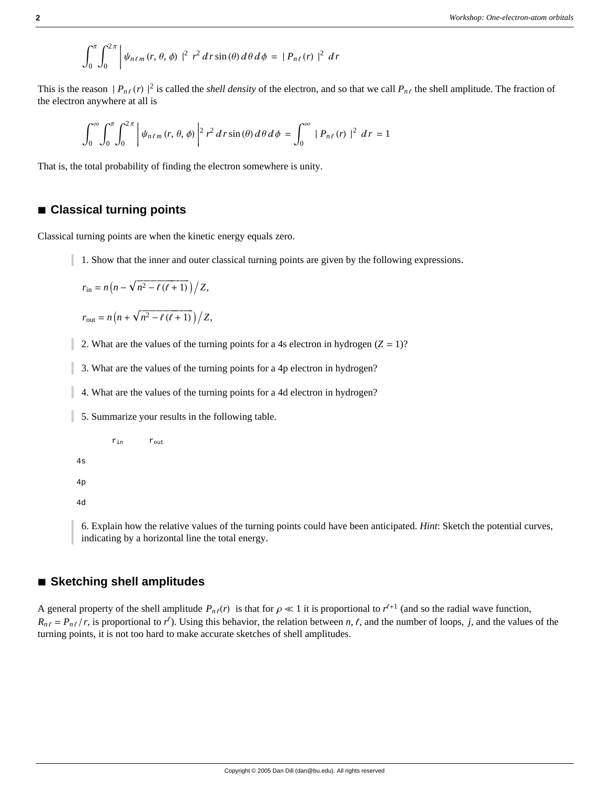$$
\int_0^{\pi} \int_0^{2\pi} \left| \psi_{n\ell m}(r,\theta,\phi) \right|^2 r^2 dr \sin(\theta) d\theta d\phi = |P_{n\ell}(r)|^2 dr
$$

This is the reason  $|P_{n\ell}(r)|^2$  is called the *shell density* of the electron, and so that we call  $P_{n\ell}$  the shell amplitude. The fraction of the electron anywhere at all is

$$
\int_0^{\infty} \int_0^{\pi} \int_0^{2\pi} \left| \psi_{n\ell m}(r, \theta, \phi) \right|^2 r^2 dr \sin(\theta) d\theta d\phi = \int_0^{\infty} |P_{n\ell}(r)|^2 dr = 1
$$

That is, the total probability of finding the electron somewhere is unity.

### **à Classical turning points**

Classical turning points are when the kinetic energy equals zero.

1. Show that the inner and outer classical turning points are given by the following expressions.

$$
r_{\rm in} = n\left(n - \sqrt{n^2 - \ell(\ell+1)}\right)/Z,
$$

$$
r_{\text{out}} = n\left(n + \sqrt{n^2 - \ell(\ell+1)}\right)/Z,
$$

2. What are the values of the turning points for a 4s electron in hydrogen  $(Z = 1)$ ?

- 3. What are the values of the turning points for a 4p electron in hydrogen?
- 4. What are the values of the turning points for a 4d electron in hydrogen?
- 5. Summarize your results in the following table.
	- $r_{\text{in}}$   $r_{\text{out}}$

```
4s
```

```
4p
```
4d

6. Explain how the relative values of the turning points could have been anticipated. *Hint*: Sketch the potential curves, indicating by a horizontal line the total energy.

### **à Sketching shell amplitudes**

A general property of the shell amplitude  $P_{n\ell}(r)$  is that for  $\rho \ll 1$  it is proportional to  $r^{l+1}$  (and so the radial wave function,  $R_{n\ell} = P_{n\ell}/r$ , is proportional to  $r^{\ell}$ ). Using this behavior, the relation between *n*,  $\ell$ , and the number of loops, *j*, and the values of the turning points, it is not too hard to make accurate sketches of shell amplitudes.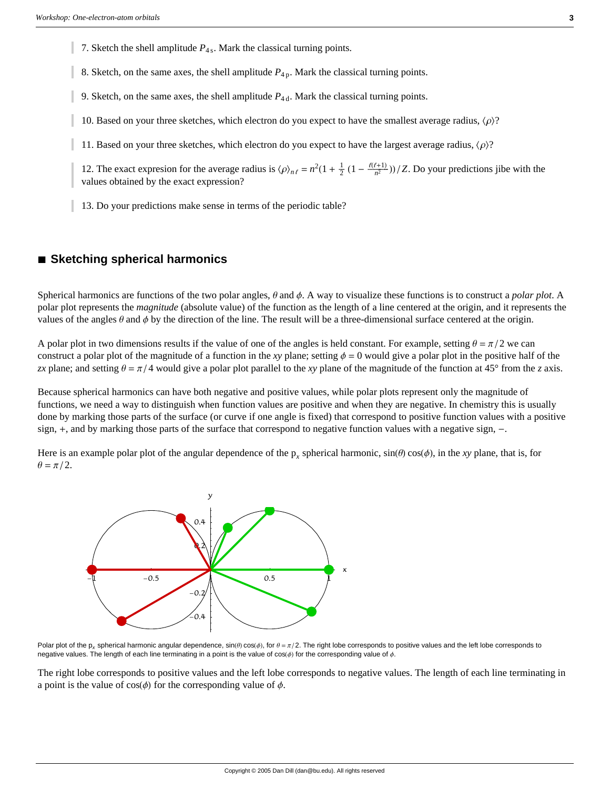7. Sketch the shell amplitude  $P_{4s}$ . Mark the classical turning points.

8. Sketch, on the same axes, the shell amplitude  $P_{4p}$ . Mark the classical turning points.

9. Sketch, on the same axes, the shell amplitude  $P_{4d}$ . Mark the classical turning points.

10. Based on your three sketches, which electron do you expect to have the smallest average radius,  $\langle \rho \rangle$ ?

11. Based on your three sketches, which electron do you expect to have the largest average radius,  $\langle \rho \rangle$ ?

12. The exact expresion for the average radius is  $\langle \rho \rangle_{n\ell} = n^2(1 + \frac{1}{2}(1 - \frac{\ell(\ell+1)}{n^2})) / Z$ . Do your predictions jibe with the values obtained by the exact expression?

13. Do your predictions make sense in terms of the periodic table?

### **à Sketching spherical harmonics**

Spherical harmonics are functions of the two polar angles,  $\theta$  and  $\phi$ . A way to visualize these functions is to construct a *polar plot*. A polar plot represents the *magnitude* (absolute value) of the function as the length of a line centered at the origin, and it represents the values of the angles  $\theta$  and  $\phi$  by the direction of the line. The result will be a three-dimensional surface centered at the origin.

A polar plot in two dimensions results if the value of one of the angles is held constant. For example, setting  $\theta = \pi/2$  we can construct a polar plot of the magnitude of a function in the *xy* plane; setting  $\phi = 0$  would give a polar plot in the positive half of the *zx* plane; and setting  $\theta = \pi/4$  would give a polar plot parallel to the *xy* plane of the magnitude of the function at 45° from the *z* axis.

Because spherical harmonics can have both negative and positive values, while polar plots represent only the magnitude of functions, we need a way to distinguish when function values are positive and when they are negative. In chemistry this is usually done by marking those parts of the surface (or curve if one angle is fixed) that correspond to positive function values with a positive sign, +, and by marking those parts of the surface that correspond to negative function values with a negative sign, -.

Here is an example polar plot of the angular dependence of the  $p_x$  spherical harmonic,  $sin(\theta) cos(\phi)$ , in the *xy* plane, that is, for  $\theta = \pi/2$ .



Polar plot of the p<sub>x</sub> spherical harmonic angular dependence,  $\sin(\theta)\cos(\phi)$ , for  $\theta = \pi/2$ . The right lobe corresponds to positive values and the left lobe corresponds to negative values. The length of each line terminating in a point is the value of  $cos(\phi)$  for the corresponding value of  $\phi$ .

The right lobe corresponds to positive values and the left lobe corresponds to negative values. The length of each line terminating in a point is the value of  $cos(\phi)$  for the corresponding value of  $\phi$ .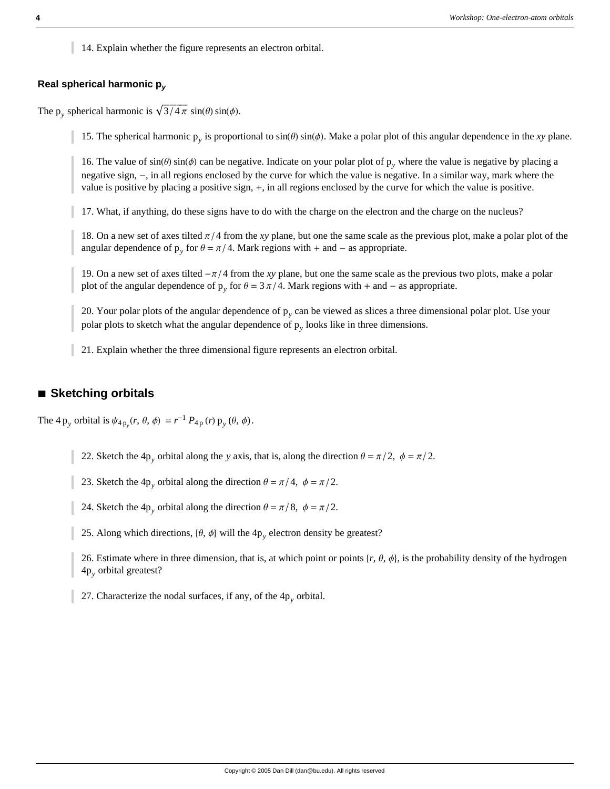14. Explain whether the figure represents an electron orbital.

#### **Real spherical harmonic p***<sup>y</sup>*

The p<sub>y</sub> spherical harmonic is  $\sqrt{3/4 \pi} \sin(\theta) \sin(\phi)$ .

15. The spherical harmonic  $p_y$  is proportional to  $sin(\theta) sin(\phi)$ . Make a polar plot of this angular dependence in the *xy* plane.

16. The value of  $sin(\theta) sin(\phi)$  can be negative. Indicate on your polar plot of p<sub>y</sub> where the value is negative by placing a negative sign, -, in all regions enclosed by the curve for which the value is negative. In a similar way, mark where the value is positive by placing a positive sign, +, in all regions enclosed by the curve for which the value is positive.

17. What, if anything, do these signs have to do with the charge on the electron and the charge on the nucleus?

18. On a new set of axes tilted  $\pi/4$  from the *xy* plane, but one the same scale as the previous plot, make a polar plot of the angular dependence of  $p_y$  for  $\theta = \pi/4$ . Mark regions with + and - as appropriate.

19. On a new set of axes tilted  $-\pi/4$  from the *xy* plane, but one the same scale as the previous two plots, make a polar plot of the angular dependence of  $p_y$  for  $\theta = 3 \pi/4$ . Mark regions with + and – as appropriate.

20. Your polar plots of the angular dependence of p*y* can be viewed as slices a three dimensional polar plot. Use your polar plots to sketch what the angular dependence of  $p_y$  looks like in three dimensions.

21. Explain whether the three dimensional figure represents an electron orbital.

### **à Sketching orbitals**

The 4  $p_y$  orbital is  $\psi_{4p_y}(r, \theta, \phi) = r^{-1} P_{4p}(r) p_y(\theta, \phi)$ .

22. Sketch the 4p<sub>*y*</sub> orbital along the *y* axis, that is, along the direction  $\theta = \pi/2$ ,  $\phi = \pi/2$ .

23. Sketch the 4p<sub>*y*</sub> orbital along the direction  $\theta = \pi/4$ ,  $\phi = \pi/2$ .

24. Sketch the 4p<sub>y</sub> orbital along the direction  $\theta = \pi/8$ ,  $\phi = \pi/2$ .

25. Along which directions,  $\{\theta, \phi\}$  will the  $4p_y$  electron density be greatest?

26. Estimate where in three dimension, that is, at which point or points  $\{r, \theta, \phi\}$ , is the probability density of the hydrogen 4p*y* orbital greatest?

27. Characterize the nodal surfaces, if any, of the 4p*y* orbital.